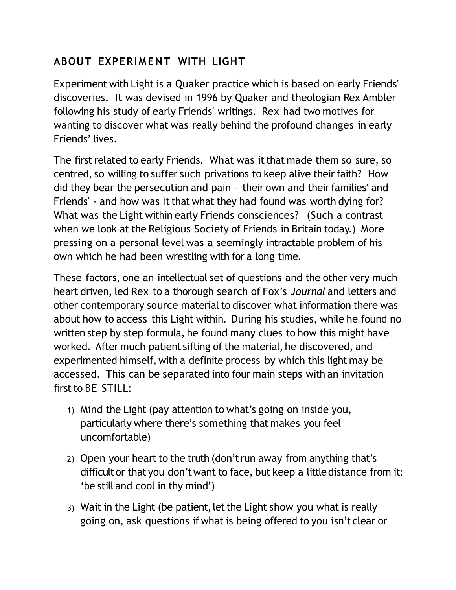## **ABOUT EXPERIMENT WITH LIGHT**

Experiment with Light is a Quaker practice which is based on early Friends' discoveries. It was devised in 1996 by Quaker and theologian Rex Ambler following his study of early Friends' writings. Rex had two motives for wanting to discover what was really behind the profound changes in early Friends' lives.

The first related to early Friends. What was it that made them so sure, so centred, so willing to suffer such privations to keep alive their faith? How did they bear the persecution and pain – their own and their families' and Friends' - and how was it that what they had found was worth dying for? What was the Light within early Friends consciences? (Such a contrast when we look at the Religious Society of Friends in Britain today.) More pressing on a personal level was a seemingly intractable problem of his own which he had been wrestling with for a long time.

These factors, one an intellectual set of questions and the other very much heart driven, led Rex to a thorough search of Fox's *Journal* and letters and other contemporary source material to discover what information there was about how to access this Light within. During his studies, while he found no written step by step formula, he found many clues to how this might have worked. After much patient sifting of the material, he discovered, and experimented himself, with a definite process by which this light may be accessed. This can be separated into four main steps with an invitation first to BE STILL:

- 1) Mind the Light (pay attention to what's going on inside you, particularly where there's something that makes you feel uncomfortable)
- 2) Open your heart to the truth (don't run away from anything that's difficult or that you don't want to face, but keep a little distance from it: 'be still and cool in thy mind')
- 3) Wait in the Light (be patient, let the Light show you what is really going on, ask questions if what is being offered to you isn't clear or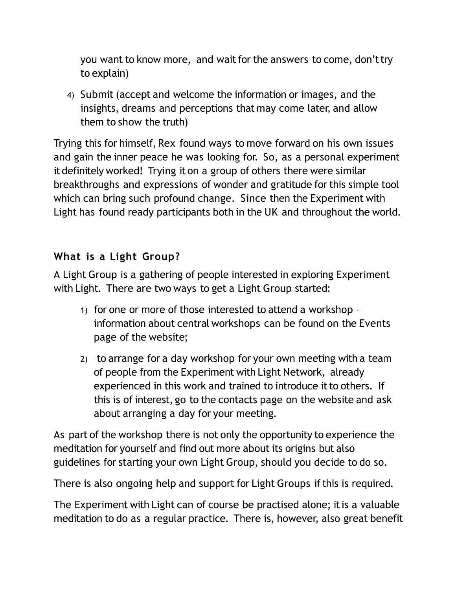you want to know more, and wait for the answers to come, don't try to explain)

4) Submit (accept and welcome the information or images, and the insights, dreams and perceptions that may come later, and allow them to show the truth)

Trying this for himself, Rex found ways to move forward on his own issues and gain the inner peace he was looking for. So, as a personal experiment it definitely worked! Trying it on a group of others there were similar breakthroughs and expressions of wonder and gratitude for this simple tool which can bring such profound change. Since then the Experiment with Light has found ready participants both in the UK and throughout the world.

## **What is a Light Group?**

A Light Group is a gathering of people interested in exploring Experiment with Light. There are two ways to get a Light Group started:

- 1) for one or more of those interested to attend a workshop information about central workshops can be found on the Events page of the website;
- 2) to arrange for a day workshop for your own meeting with a team of people from the Experiment with Light Network, already experienced in this work and trained to introduce it to others. If this is of interest, go to the contacts page on the website and ask about arranging a day for your meeting.

As part of the workshop there is not only the opportunity to experience the meditation for yourself and find out more about its origins but also guidelines for starting your own Light Group, should you decide to do so.

There is also ongoing help and support for Light Groups if this is required.

The Experiment with Light can of course be practised alone; it is a valuable meditation to do as a regular practice. There is, however, also great benefit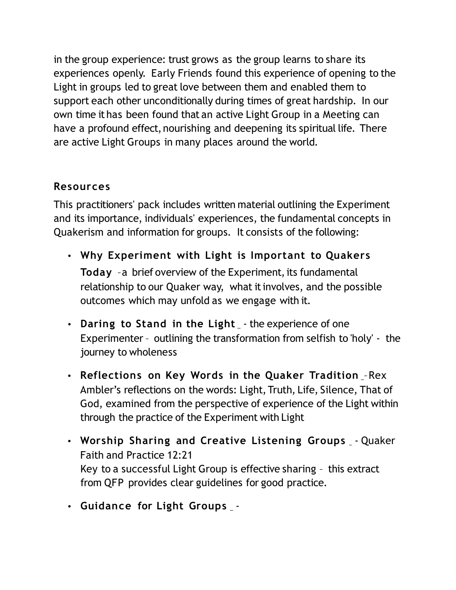in the group experience: trust grows as the group learns to share its experiences openly. Early Friends found this experience of opening to the Light in groups led to great love between them and enabled them to support each other unconditionally during times of great hardship. In our own time it has been found that an active Light Group in a Meeting can have a profound effect, nourishing and deepening its spiritual life. There are active Light Groups in many places around the world.

## **Resources**

This practitioners' pack includes written material outlining the Experiment and its importance, individuals' experiences, the fundamental concepts in Quakerism and information for groups. It consists of the following:

- **Why Experiment with Light is Important to Quakers Today** –a brief overview of the Experiment, its fundamental relationship to our Quaker way, what it involves, and the possible outcomes which may unfold as we engage with it.
- Daring to Stand in the Light \_- the experience of one Experimenter – outlining the transformation from selfish to 'holy' - the journey to wholeness
- **Reflections on Key Words in the Quaker Tradition** –Rex Ambler's reflections on the words: Light, Truth, Life, Silence, That of God, examined from the perspective of experience of the Light within through the practice of the Experiment with Light
- **Worship Sharing and Creative Listening Groups** Quaker Faith and Practice 12:21 Key to a successful Light Group is effective sharing – this extract from QFP provides clear guidelines for good practice.
- **Guidance for Light Groups** -